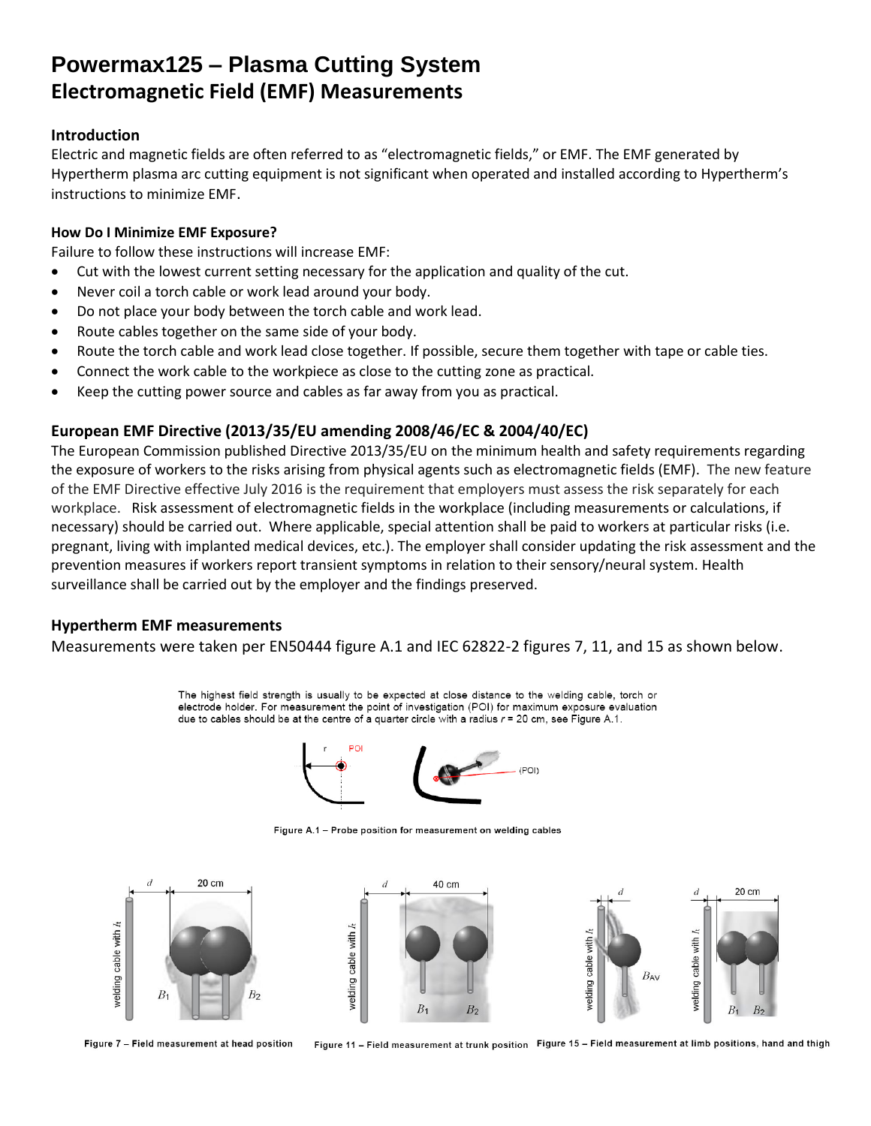## **Powermax125 – Plasma Cutting System Electromagnetic Field (EMF) Measurements**

### **Introduction**

Electric and magnetic fields are often referred to as "electromagnetic fields," or EMF. The EMF generated by Hypertherm plasma arc cutting equipment is not significant when operated and installed according to Hypertherm's instructions to minimize EMF.

### **How Do I Minimize EMF Exposure?**

Failure to follow these instructions will increase EMF:

- Cut with the lowest current setting necessary for the application and quality of the cut.
- Never coil a torch cable or work lead around your body.
- Do not place your body between the torch cable and work lead.
- Route cables together on the same side of your body.
- Route the torch cable and work lead close together. If possible, secure them together with tape or cable ties.
- Connect the work cable to the workpiece as close to the cutting zone as practical.
- Keep the cutting power source and cables as far away from you as practical.

## **European EMF Directive (2013/35/EU amending 2008/46/EC & 2004/40/EC)**

The European Commission published Directive 2013/35/EU on the minimum health and safety requirements regarding the exposure of workers to the risks arising from physical agents such as electromagnetic fields (EMF). The new feature of the EMF Directive effective July 2016 is the requirement that employers must assess the risk separately for each workplace. Risk assessment of electromagnetic fields in the workplace (including measurements or calculations, if necessary) should be carried out. Where applicable, special attention shall be paid to workers at particular risks (i.e. pregnant, living with implanted medical devices, etc.). The employer shall consider updating the risk assessment and the prevention measures if workers report transient symptoms in relation to their sensory/neural system. Health surveillance shall be carried out by the employer and the findings preserved.

## **Hypertherm EMF measurements**

Measurements were taken per EN50444 figure A.1 and IEC 62822-2 figures 7, 11, and 15 as shown below.

The highest field strength is usually to be expected at close distance to the welding cable, torch or electrode holder. For measurement the point of investigation (POI) for maximum exposure evaluation due to cables should be at the centre of a quarter circle with a radius  $r = 20$  cm, see Figure A.1.



Figure A.1 - Probe position for measurement on welding cables



Figure 7 - Field measurement at head position

Figure 11 - Field measurement at trunk position Figure 15 - Field measurement at limb positions, hand and thigh